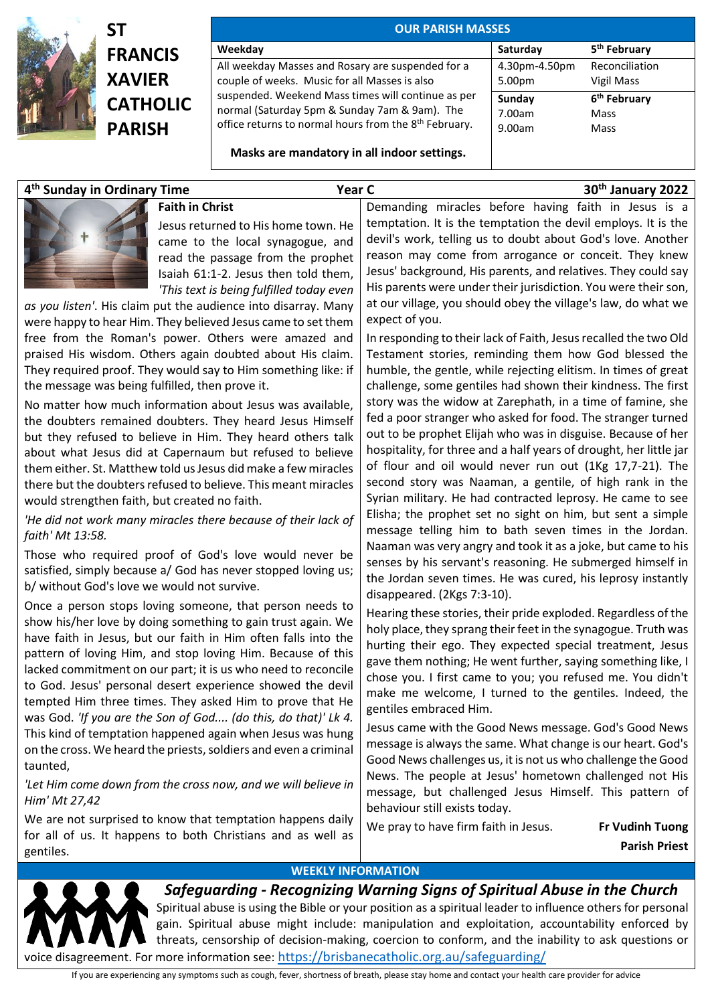

## **ST FRANCIS XAVIER CATHOLIC PARISH**

| <b>OUR PARISH MASSES</b>                                                                                                                                                                                                                                                       |                            |                                          |  |
|--------------------------------------------------------------------------------------------------------------------------------------------------------------------------------------------------------------------------------------------------------------------------------|----------------------------|------------------------------------------|--|
| Weekday                                                                                                                                                                                                                                                                        | Saturday                   | 5 <sup>th</sup> February                 |  |
| All weekday Masses and Rosary are suspended for a<br>couple of weeks. Music for all Masses is also<br>suspended. Weekend Mass times will continue as per<br>normal (Saturday 5pm & Sunday 7am & 9am). The<br>office returns to normal hours from the 8 <sup>th</sup> February. | 4.30pm-4.50pm<br>5.00pm    | Reconciliation<br>Vigil Mass             |  |
|                                                                                                                                                                                                                                                                                | Sunday<br>7.00am<br>9.00am | 6 <sup>th</sup> February<br>Mass<br>Mass |  |
| Masks are mandatory in all indoor settings.                                                                                                                                                                                                                                    |                            |                                          |  |

## **4 th Sunday in Ordinary Time Year C 30th January 2022**



## **Faith in Christ**

Jesus returned to His home town. He came to the local synagogue, and read the passage from the prophet Isaiah 61:1-2. Jesus then told them, *'This text is being fulfilled today even* 

*as you listen'*. His claim put the audience into disarray. Many were happy to hear Him. They believed Jesus came to set them free from the Roman's power. Others were amazed and praised His wisdom. Others again doubted about His claim. They required proof. They would say to Him something like: if the message was being fulfilled, then prove it.

No matter how much information about Jesus was available, the doubters remained doubters. They heard Jesus Himself but they refused to believe in Him. They heard others talk about what Jesus did at Capernaum but refused to believe them either. St. Matthew told us Jesus did make a few miracles there but the doubters refused to believe. This meant miracles would strengthen faith, but created no faith.

*'He did not work many miracles there because of their lack of faith' Mt 13:58.*

Those who required proof of God's love would never be satisfied, simply because a/ God has never stopped loving us; b/ without God's love we would not survive.

Once a person stops loving someone, that person needs to show his/her love by doing something to gain trust again. We have faith in Jesus, but our faith in Him often falls into the pattern of loving Him, and stop loving Him. Because of this lacked commitment on our part; it is us who need to reconcile to God. Jesus' personal desert experience showed the devil tempted Him three times. They asked Him to prove that He was God. *'If you are the Son of God.... (do this, do that)' Lk 4.* This kind of temptation happened again when Jesus was hung on the cross. We heard the priests, soldiers and even a criminal taunted,

'Let Him come down from the cross now, and we will believe in *Him' Mt 27,42*

We are not surprised to know that temptation happens daily for all of us. It happens to both Christians and as well as gentiles.

Demanding miracles before having faith in Jesus is a temptation. It is the temptation the devil employs. It is the devil's work, telling us to doubt about God's love. Another reason may come from arrogance or conceit. They knew Jesus' background, His parents, and relatives. They could say His parents were under their jurisdiction. You were their son, at our village, you should obey the village's law, do what we expect of you.

In responding to their lack of Faith, Jesus recalled the two Old Testament stories, reminding them how God blessed the humble, the gentle, while rejecting elitism. In times of great challenge, some gentiles had shown their kindness. The first story was the widow at Zarephath, in a time of famine, she fed a poor stranger who asked for food. The stranger turned out to be prophet Elijah who was in disguise. Because of her hospitality, for three and a half years of drought, her little jar of flour and oil would never run out (1Kg 17,7-21). The second story was Naaman, a gentile, of high rank in the Syrian military. He had contracted leprosy. He came to see Elisha; the prophet set no sight on him, but sent a simple message telling him to bath seven times in the Jordan. Naaman was very angry and took it as a joke, but came to his senses by his servant's reasoning. He submerged himself in the Jordan seven times. He was cured, his leprosy instantly disappeared. (2Kgs 7:3-10).

Hearing these stories, their pride exploded. Regardless of the holy place, they sprang their feet in the synagogue. Truth was hurting their ego. They expected special treatment, Jesus gave them nothing; He went further, saying something like, I chose you. I first came to you; you refused me. You didn't make me welcome, I turned to the gentiles. Indeed, the gentiles embraced Him.

Jesus came with the Good News message. God's Good News message is always the same. What change is our heart. God's Good News challenges us, it is not us who challenge the Good News. The people at Jesus' hometown challenged not His message, but challenged Jesus Himself. This pattern of behaviour still exists today.

We pray to have firm faith in Jesus. **Fr Vudinh Tuong**

 **Parish Priest**

## **WEEKLY INFORMATION**



*Safeguarding - Recognizing Warning Signs of Spiritual Abuse in the Church* Spiritual abuse is using the Bible or your position as a spiritual leader to influence others for personal gain. Spiritual abuse might include: manipulation and exploitation, accountability enforced by threats, censorship of decision-making, coercion to conform, and the inability to ask questions or voice disagreement. For more information see: https://brisbanecatholic.org.au/safeguarding/

If you are experiencing any symptoms such as cough, fever, shortness of breath, please stay home and contact your health care provider for advice